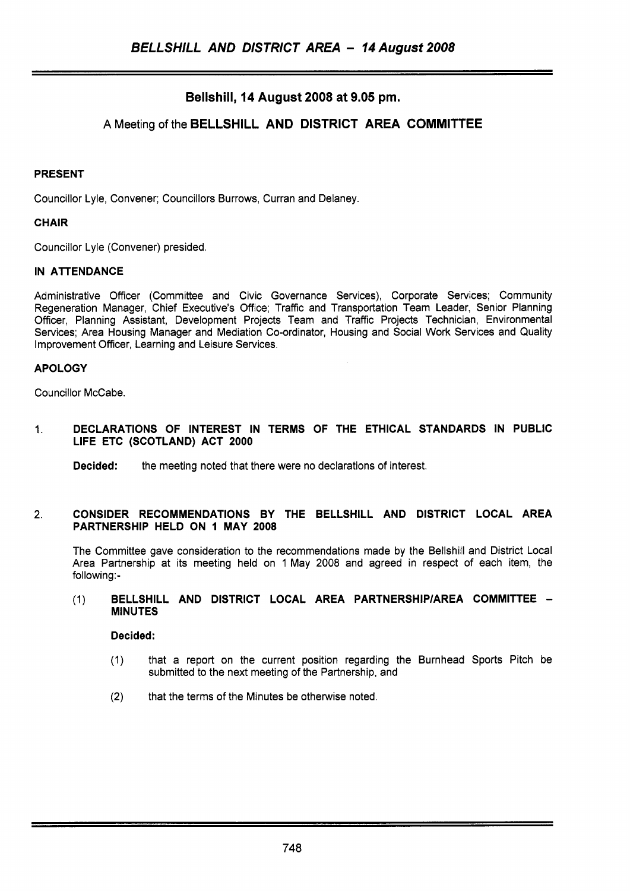# **Bellshill, 14 August 2008 at 9.05 pm.**

## A Meeting of the **BELLSHILL AND DISTRICT AREA COMMITTEE**

#### **PRESENT**

Councillor Lyle, Convener; Councillors Burrows, Curran and Delaney.

#### **CHAIR**

Councillor Lyle (Convener) presided.

#### **IN ATTENDANCE**

Administrative Officer (Committee and Civic Governance Services), Corporate Services; Community Regeneration Manager, Chief Executive's Office; Traffic and Transportation Team Leader, Senior Planning Officer, Planning Assistant, Development Projects Team and Traffic Projects Technician, Environmental Services; Area Housing Manager and Mediation Co-ordinator, Housing and Social Work Services and Quality Improvement Officer, Learning and Leisure Services.

#### **APOLOGY**

Councillor McCabe.

1. **DECLARATIONS OF INTEREST IN TERMS OF THE ETHICAL STANDARDS IN PUBLIC LIFE ETC (SCOTLAND) ACT 2000** 

**Decided:** the meeting noted that there were no declarations of interest.

#### **2. CONSIDER RECOMMENDATIONS BY THE BELLSHILL AND DISTRICT LOCAL AREA PARTNERSHIP HELD ON I MAY 2008**

The Committee gave consideration to the recommendations made by the Bellshill and District Local Area Partnership at its meeting held on 1 May 2008 and agreed in respect of each item, the following:-

### (1) **BELLSHILL AND DISTRICT LOCAL AREA PARTNERSHlPlAREA COMMITTEE** - **MINUTES**

**Decided:** 

- (1) that a report on the current position regarding the Burnhead Sports Pitch be submitted to the next meeting of the Partnership, and
- **(2)** that the terms of the Minutes be otherwise noted.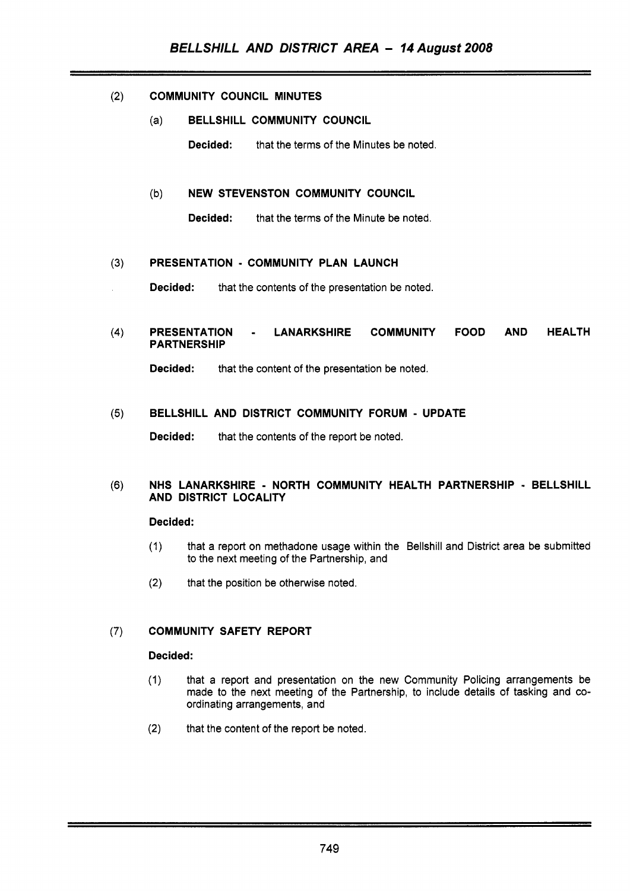#### $(2)$ **COMMUNITY COUNCIL MINUTES**

(a) **BELLSHILL COMMUNITY COUNCIL** 

**Decided:** that the terms of the Minutes be noted.

### (b) **NEW STEVENSTON COMMUNITY COUNCIL**

**Decided:** that the terms of the Minute be noted.

#### $(3)$ **PRESENTATION** - **COMMUNITY PLAN LAUNCH**

**Decided:** that the contents of the presentation be noted.

#### **PRESENTATION** - **LANARKSHIRE COMMUNITY FOOD AND HEALTH**   $(4)$ **PARTNERSHIP**

**Decided:** that the content of the presentation be noted.

#### **BELLSHILL AND DISTRICT COMMUNITY FORUM** - **UPDATE**   $(5)$

**Decided:** that the contents of the report be noted.

#### $(6)$ **NHS LANARKSHIRE** - **NORTH COMMUNITY HEALTH PARTNERSHIP** - **BELLSHILL AND DISTRICT LOCALITY**

### **Decided:**

- (1) that a report on methadone usage within the Bellshill and District area be submitted to the next meeting of the Partnership, and
- **(2)**  that the position be otherwise noted.

#### **COMMUNITY SAFETY REPORT**   $(7)$

#### **Decided:**

- (1) that a report and presentation on the new Community Policing arrangements be made to the next meeting of the Partnership, to include details of tasking and coordinating arrangements, and
- **(2)** that the content of the report be noted.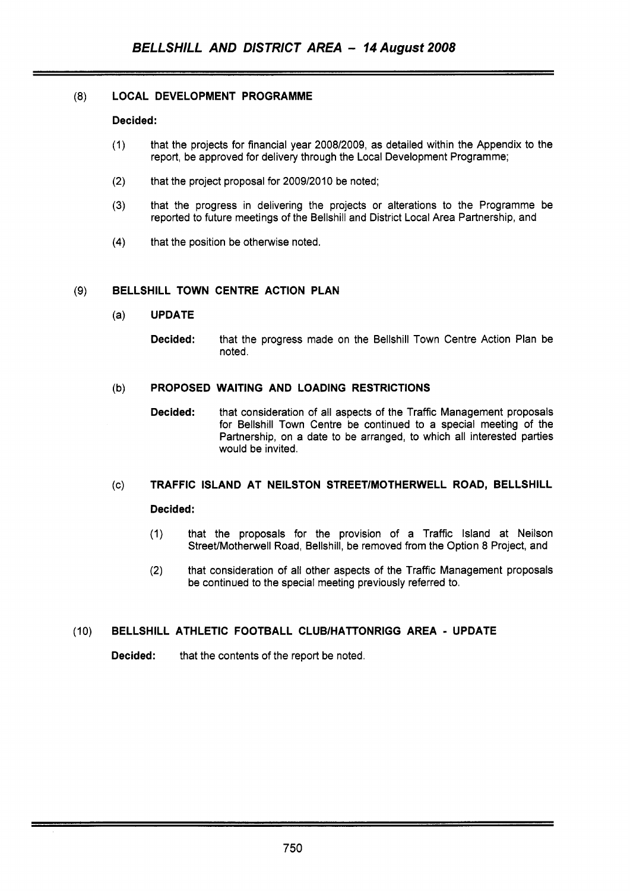### **(8) LOCAL DEVELOPMENT PROGRAMME**

#### **Decided:**

- (1) that the projects for financial year 2008/2009, as detailed within the Appendix to the report, be approved for delivery through the Local Development Programme;
- (2) that the project proposal for 2009/2010 be noted;
- **(3)** that the progress in delivering the projects or alterations to the Programme be reported to future meetings of the Bellshill and District Local Area Partnership, and
- **(4)** that the position be otherwise noted.

#### (9) **BELLSHILL TOWN CENTRE ACTION PLAN**

- (a) **UPDATE** 
	- **Decided:** that the progress made on the Bellshill Town Centre Action Plan be noted.

#### (b) **PROPOSED WAITING AND LOADING RESTRICTIONS**

**Decided:** that consideration of all aspects of the Traffic Management proposals for Bellshill Town Centre be continued to a special meeting of the Partnership, on a date to be arranged, to which all interested parties would be invited.

# (c) **TRAFFIC ISLAND AT NEILSTON STREETlMOTHERWELL ROAD, BELLSHILL Decided:**

- (1) that the proposals for the provision of a Traffic Island at Neilson Street/Motherwell Road, Bellshill, be removed from the Option 8 Project, and
- (2) that consideration of all other aspects of the Traffic Management proposals be continued to the special meeting previously referred to.

### (10) **BELLSHILL ATHLETIC FOOTBALL CLUBlHATTONRlGG AREA** - **UPDATE**

**Decided:** that the contents of the report be noted.